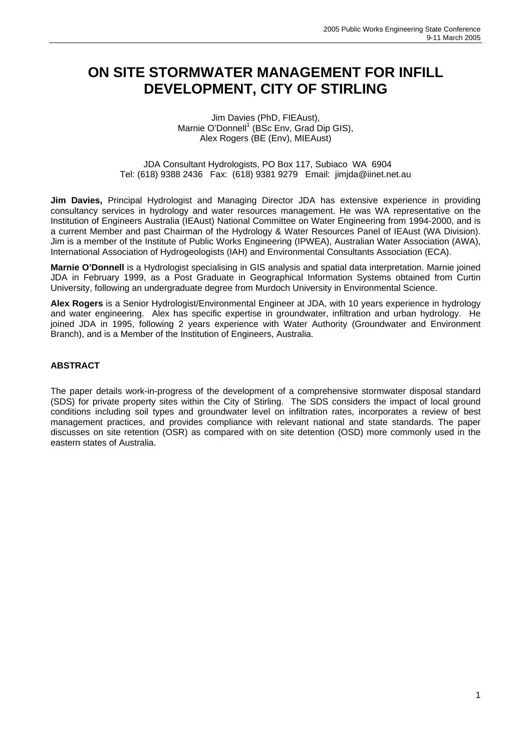# **ON SITE STORMWATER MANAGEMENT FOR INFILL DEVELOPMENT, CITY OF STIRLING**

#### Jim Davies (PhD, FIEAust), Marnie O'Donnell<sup>1</sup> (BSc Env, Grad Dip GIS), Alex Rogers (BE (Env), MIEAust)

#### JDA Consultant Hydrologists, PO Box 117, Subiaco WA 6904 Tel: (618) 9388 2436 Fax: (618) 9381 9279 Email: jimjda@iinet.net.au

**Jim Davies,** Principal Hydrologist and Managing Director JDA has extensive experience in providing consultancy services in hydrology and water resources management. He was WA representative on the Institution of Engineers Australia (IEAust) National Committee on Water Engineering from 1994-2000, and is a current Member and past Chairman of the Hydrology & Water Resources Panel of IEAust (WA Division). Jim is a member of the Institute of Public Works Engineering (IPWEA), Australian Water Association (AWA), International Association of Hydrogeologists (IAH) and Environmental Consultants Association (ECA).

**Marnie O'Donnell** is a Hydrologist specialising in GIS analysis and spatial data interpretation. Marnie joined JDA in February 1999, as a Post Graduate in Geographical Information Systems obtained from Curtin University, following an undergraduate degree from Murdoch University in Environmental Science.

**Alex Rogers** is a Senior Hydrologist/Environmental Engineer at JDA, with 10 years experience in hydrology and water engineering. Alex has specific expertise in groundwater, infiltration and urban hydrology. He joined JDA in 1995, following 2 years experience with Water Authority (Groundwater and Environment Branch), and is a Member of the Institution of Engineers, Australia.

#### **ABSTRACT**

The paper details work-in-progress of the development of a comprehensive stormwater disposal standard (SDS) for private property sites within the City of Stirling. The SDS considers the impact of local ground conditions including soil types and groundwater level on infiltration rates, incorporates a review of best management practices, and provides compliance with relevant national and state standards. The paper discusses on site retention (OSR) as compared with on site detention (OSD) more commonly used in the eastern states of Australia.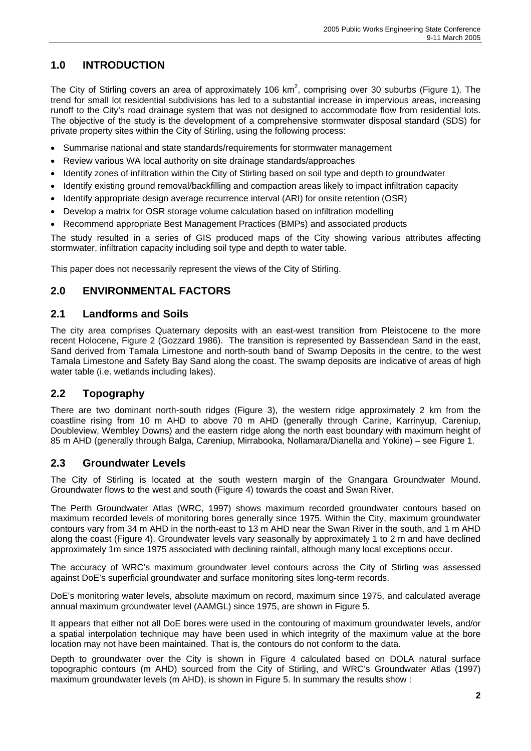## **1.0 INTRODUCTION**

The City of Stirling covers an area of approximately 106 km<sup>2</sup>, comprising over 30 suburbs (Figure 1). The trend for small lot residential subdivisions has led to a substantial increase in impervious areas, increasing runoff to the City's road drainage system that was not designed to accommodate flow from residential lots. The objective of the study is the development of a comprehensive stormwater disposal standard (SDS) for private property sites within the City of Stirling, using the following process:

- Summarise national and state standards/requirements for stormwater management
- Review various WA local authority on site drainage standards/approaches
- Identify zones of infiltration within the City of Stirling based on soil type and depth to groundwater
- Identify existing ground removal/backfilling and compaction areas likely to impact infiltration capacity
- Identify appropriate design average recurrence interval (ARI) for onsite retention (OSR)
- Develop a matrix for OSR storage volume calculation based on infiltration modelling
- Recommend appropriate Best Management Practices (BMPs) and associated products

The study resulted in a series of GIS produced maps of the City showing various attributes affecting stormwater, infiltration capacity including soil type and depth to water table.

This paper does not necessarily represent the views of the City of Stirling.

### **2.0 ENVIRONMENTAL FACTORS**

#### **2.1 Landforms and Soils**

The city area comprises Quaternary deposits with an east-west transition from Pleistocene to the more recent Holocene, Figure 2 (Gozzard 1986). The transition is represented by Bassendean Sand in the east, Sand derived from Tamala Limestone and north-south band of Swamp Deposits in the centre, to the west Tamala Limestone and Safety Bay Sand along the coast. The swamp deposits are indicative of areas of high water table (i.e. wetlands including lakes).

### **2.2 Topography**

There are two dominant north-south ridges (Figure 3), the western ridge approximately 2 km from the coastline rising from 10 m AHD to above 70 m AHD (generally through Carine, Karrinyup, Careniup, Doubleview, Wembley Downs) and the eastern ridge along the north east boundary with maximum height of 85 m AHD (generally through Balga, Careniup, Mirrabooka, Nollamara/Dianella and Yokine) – see Figure 1.

#### **2.3 Groundwater Levels**

The City of Stirling is located at the south western margin of the Gnangara Groundwater Mound. Groundwater flows to the west and south (Figure 4) towards the coast and Swan River.

The Perth Groundwater Atlas (WRC, 1997) shows maximum recorded groundwater contours based on maximum recorded levels of monitoring bores generally since 1975. Within the City, maximum groundwater contours vary from 34 m AHD in the north-east to 13 m AHD near the Swan River in the south, and 1 m AHD along the coast (Figure 4). Groundwater levels vary seasonally by approximately 1 to 2 m and have declined approximately 1m since 1975 associated with declining rainfall, although many local exceptions occur.

The accuracy of WRC's maximum groundwater level contours across the City of Stirling was assessed against DoE's superficial groundwater and surface monitoring sites long-term records.

DoE's monitoring water levels, absolute maximum on record, maximum since 1975, and calculated average annual maximum groundwater level (AAMGL) since 1975, are shown in Figure 5.

It appears that either not all DoE bores were used in the contouring of maximum groundwater levels, and/or a spatial interpolation technique may have been used in which integrity of the maximum value at the bore location may not have been maintained. That is, the contours do not conform to the data.

Depth to groundwater over the City is shown in Figure 4 calculated based on DOLA natural surface topographic contours (m AHD) sourced from the City of Stirling, and WRC's Groundwater Atlas (1997) maximum groundwater levels (m AHD), is shown in Figure 5. In summary the results show :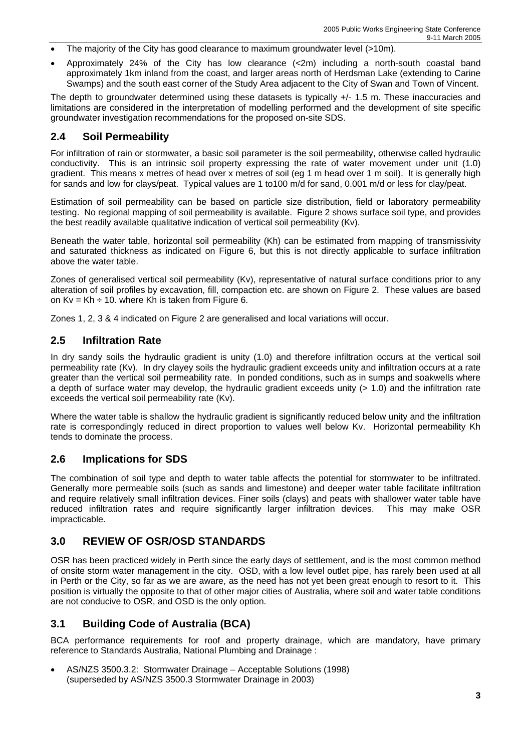- The majority of the City has good clearance to maximum groundwater level (>10m).
- Approximately 24% of the City has low clearance (<2m) including a north-south coastal band approximately 1km inland from the coast, and larger areas north of Herdsman Lake (extending to Carine Swamps) and the south east corner of the Study Area adjacent to the City of Swan and Town of Vincent.

The depth to groundwater determined using these datasets is typically +/- 1.5 m. These inaccuracies and limitations are considered in the interpretation of modelling performed and the development of site specific groundwater investigation recommendations for the proposed on-site SDS.

#### **2.4 Soil Permeability**

For infiltration of rain or stormwater, a basic soil parameter is the soil permeability, otherwise called hydraulic conductivity. This is an intrinsic soil property expressing the rate of water movement under unit (1.0) gradient. This means x metres of head over x metres of soil (eg 1 m head over 1 m soil). It is generally high for sands and low for clays/peat. Typical values are 1 to100 m/d for sand, 0.001 m/d or less for clay/peat.

Estimation of soil permeability can be based on particle size distribution, field or laboratory permeability testing. No regional mapping of soil permeability is available. Figure 2 shows surface soil type, and provides the best readily available qualitative indication of vertical soil permeability (Kv).

Beneath the water table, horizontal soil permeability (Kh) can be estimated from mapping of transmissivity and saturated thickness as indicated on Figure 6, but this is not directly applicable to surface infiltration above the water table.

Zones of generalised vertical soil permeability (Kv), representative of natural surface conditions prior to any alteration of soil profiles by excavation, fill, compaction etc. are shown on Figure 2. These values are based on  $Kv = Kh \div 10$ . where Kh is taken from Figure 6.

Zones 1, 2, 3 & 4 indicated on Figure 2 are generalised and local variations will occur.

#### **2.5 Infiltration Rate**

In dry sandy soils the hydraulic gradient is unity (1.0) and therefore infiltration occurs at the vertical soil permeability rate (Kv). In dry clayey soils the hydraulic gradient exceeds unity and infiltration occurs at a rate greater than the vertical soil permeability rate. In ponded conditions, such as in sumps and soakwells where a depth of surface water may develop, the hydraulic gradient exceeds unity (> 1.0) and the infiltration rate exceeds the vertical soil permeability rate (Kv).

Where the water table is shallow the hydraulic gradient is significantly reduced below unity and the infiltration rate is correspondingly reduced in direct proportion to values well below Kv. Horizontal permeability Kh tends to dominate the process.

#### **2.6 Implications for SDS**

The combination of soil type and depth to water table affects the potential for stormwater to be infiltrated. Generally more permeable soils (such as sands and limestone) and deeper water table facilitate infiltration and require relatively small infiltration devices. Finer soils (clays) and peats with shallower water table have reduced infiltration rates and require significantly larger infiltration devices. This may make OSR impracticable.

#### **3.0 REVIEW OF OSR/OSD STANDARDS**

OSR has been practiced widely in Perth since the early days of settlement, and is the most common method of onsite storm water management in the city. OSD, with a low level outlet pipe, has rarely been used at all in Perth or the City, so far as we are aware, as the need has not yet been great enough to resort to it. This position is virtually the opposite to that of other major cities of Australia, where soil and water table conditions are not conducive to OSR, and OSD is the only option.

#### **3.1 Building Code of Australia (BCA)**

BCA performance requirements for roof and property drainage, which are mandatory, have primary reference to Standards Australia, National Plumbing and Drainage :

• AS/NZS 3500.3.2: Stormwater Drainage – Acceptable Solutions (1998) (superseded by AS/NZS 3500.3 Stormwater Drainage in 2003)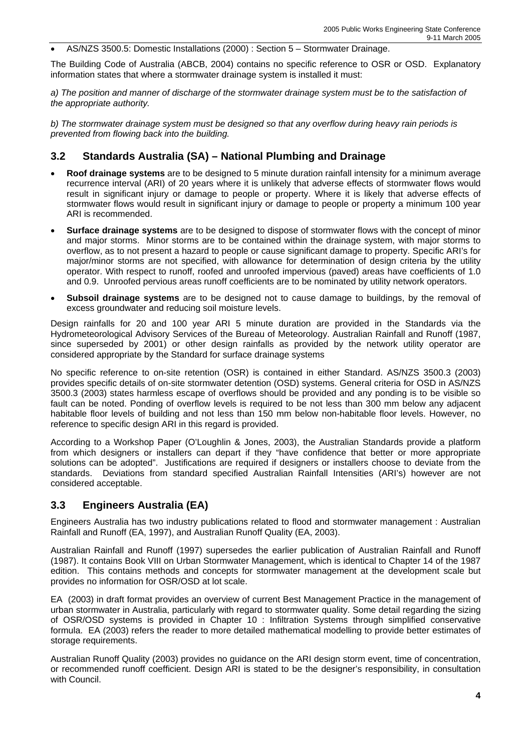• AS/NZS 3500.5: Domestic Installations (2000) : Section 5 – Stormwater Drainage.

The Building Code of Australia (ABCB, 2004) contains no specific reference to OSR or OSD. Explanatory information states that where a stormwater drainage system is installed it must:

*a) The position and manner of discharge of the stormwater drainage system must be to the satisfaction of the appropriate authority.* 

*b) The stormwater drainage system must be designed so that any overflow during heavy rain periods is prevented from flowing back into the building.* 

#### **3.2 Standards Australia (SA) – National Plumbing and Drainage**

- **Roof drainage systems** are to be designed to 5 minute duration rainfall intensity for a minimum average recurrence interval (ARI) of 20 years where it is unlikely that adverse effects of stormwater flows would result in significant injury or damage to people or property. Where it is likely that adverse effects of stormwater flows would result in significant injury or damage to people or property a minimum 100 year ARI is recommended.
- **Surface drainage systems** are to be designed to dispose of stormwater flows with the concept of minor and major storms. Minor storms are to be contained within the drainage system, with major storms to overflow, as to not present a hazard to people or cause significant damage to property. Specific ARI's for major/minor storms are not specified, with allowance for determination of design criteria by the utility operator. With respect to runoff, roofed and unroofed impervious (paved) areas have coefficients of 1.0 and 0.9. Unroofed pervious areas runoff coefficients are to be nominated by utility network operators.
- **Subsoil drainage systems** are to be designed not to cause damage to buildings, by the removal of excess groundwater and reducing soil moisture levels.

Design rainfalls for 20 and 100 year ARI 5 minute duration are provided in the Standards via the Hydrometeorological Advisory Services of the Bureau of Meteorology. Australian Rainfall and Runoff (1987, since superseded by 2001) or other design rainfalls as provided by the network utility operator are considered appropriate by the Standard for surface drainage systems

No specific reference to on-site retention (OSR) is contained in either Standard. AS/NZS 3500.3 (2003) provides specific details of on-site stormwater detention (OSD) systems. General criteria for OSD in AS/NZS 3500.3 (2003) states harmless escape of overflows should be provided and any ponding is to be visible so fault can be noted. Ponding of overflow levels is required to be not less than 300 mm below any adjacent habitable floor levels of building and not less than 150 mm below non-habitable floor levels. However, no reference to specific design ARI in this regard is provided.

According to a Workshop Paper (O'Loughlin & Jones, 2003), the Australian Standards provide a platform from which designers or installers can depart if they "have confidence that better or more appropriate solutions can be adopted". Justifications are required if designers or installers choose to deviate from the standards. Deviations from standard specified Australian Rainfall Intensities (ARI's) however are not considered acceptable.

#### **3.3 Engineers Australia (EA)**

Engineers Australia has two industry publications related to flood and stormwater management : Australian Rainfall and Runoff (EA, 1997), and Australian Runoff Quality (EA, 2003).

Australian Rainfall and Runoff (1997) supersedes the earlier publication of Australian Rainfall and Runoff (1987). It contains Book VIII on Urban Stormwater Management, which is identical to Chapter 14 of the 1987 edition. This contains methods and concepts for stormwater management at the development scale but provides no information for OSR/OSD at lot scale.

EA (2003) in draft format provides an overview of current Best Management Practice in the management of urban stormwater in Australia, particularly with regard to stormwater quality. Some detail regarding the sizing of OSR/OSD systems is provided in Chapter 10 : Infiltration Systems through simplified conservative formula. EA (2003) refers the reader to more detailed mathematical modelling to provide better estimates of storage requirements.

Australian Runoff Quality (2003) provides no guidance on the ARI design storm event, time of concentration, or recommended runoff coefficient. Design ARI is stated to be the designer's responsibility, in consultation with Council.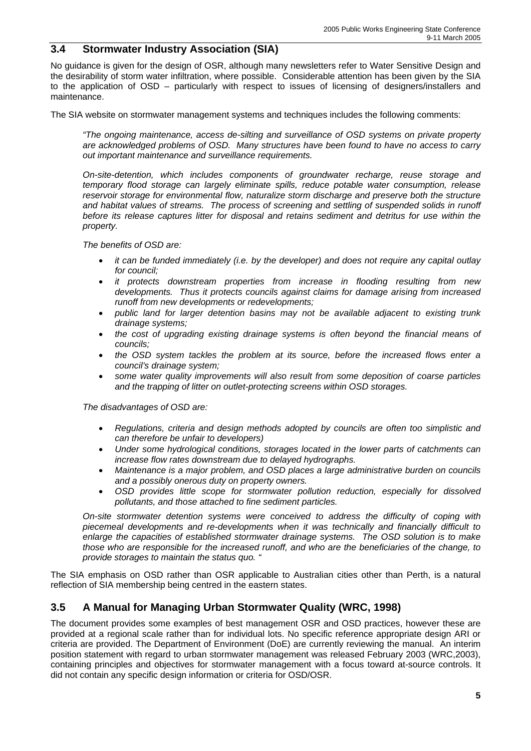#### **3.4 Stormwater Industry Association (SIA)**

No guidance is given for the design of OSR, although many newsletters refer to Water Sensitive Design and the desirability of storm water infiltration, where possible. Considerable attention has been given by the SIA to the application of OSD – particularly with respect to issues of licensing of designers/installers and maintenance.

The SIA website on stormwater management systems and techniques includes the following comments:

*"The ongoing maintenance, access de-silting and surveillance of OSD systems on private property are acknowledged problems of OSD. Many structures have been found to have no access to carry out important maintenance and surveillance requirements.*

*On-site-detention, which includes components of groundwater recharge, reuse storage and temporary flood storage can largely eliminate spills, reduce potable water consumption, release reservoir storage for environmental flow, naturalize storm discharge and preserve both the structure*  and habitat values of streams. The process of screening and settling of suspended solids in runoff *before its release captures litter for disposal and retains sediment and detritus for use within the property.* 

*The benefits of OSD are:* 

- *it can be funded immediately (i.e. by the developer) and does not require any capital outlay for council;*
- *it protects downstream properties from increase in flooding resulting from new developments. Thus it protects councils against claims for damage arising from increased runoff from new developments or redevelopments;*
- *public land for larger detention basins may not be available adjacent to existing trunk drainage systems;*
- *the cost of upgrading existing drainage systems is often beyond the financial means of councils;*
- *the OSD system tackles the problem at its source, before the increased flows enter a council's drainage system;*
- *some water quality improvements will also result from some deposition of coarse particles and the trapping of litter on outlet-protecting screens within OSD storages.*

*The disadvantages of OSD are:* 

- *Regulations, criteria and design methods adopted by councils are often too simplistic and can therefore be unfair to developers)*
- *Under some hydrological conditions, storages located in the lower parts of catchments can increase flow rates downstream due to delayed hydrographs.*
- *Maintenance is a major problem, and OSD places a large administrative burden on councils and a possibly onerous duty on property owners.*
- *OSD provides little scope for stormwater pollution reduction, especially for dissolved pollutants, and those attached to fine sediment particles.*

*On-site stormwater detention systems were conceived to address the difficulty of coping with piecemeal developments and re-developments when it was technically and financially difficult to enlarge the capacities of established stormwater drainage systems. The OSD solution is to make those who are responsible for the increased runoff, and who are the beneficiaries of the change, to provide storages to maintain the status quo. "*

The SIA emphasis on OSD rather than OSR applicable to Australian cities other than Perth, is a natural reflection of SIA membership being centred in the eastern states.

#### **3.5 A Manual for Managing Urban Stormwater Quality (WRC, 1998)**

The document provides some examples of best management OSR and OSD practices, however these are provided at a regional scale rather than for individual lots. No specific reference appropriate design ARI or criteria are provided. The Department of Environment (DoE) are currently reviewing the manual. An interim position statement with regard to urban stormwater management was released February 2003 (WRC,2003), containing principles and objectives for stormwater management with a focus toward at-source controls. It did not contain any specific design information or criteria for OSD/OSR.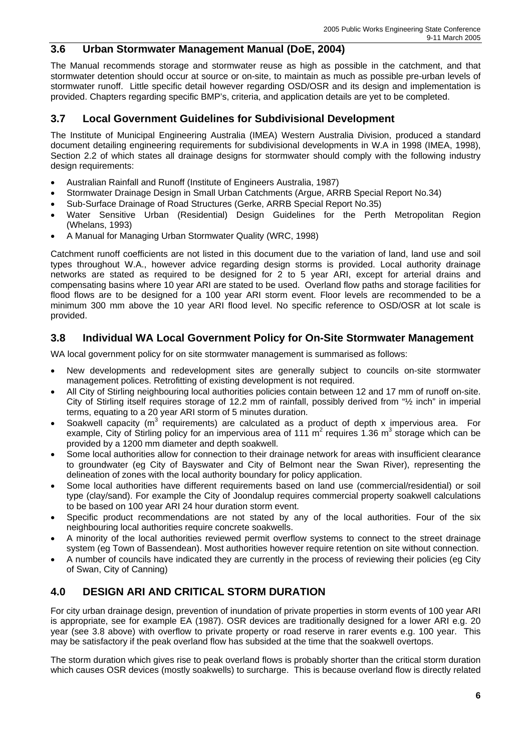#### **3.6 Urban Stormwater Management Manual (DoE, 2004)**

The Manual recommends storage and stormwater reuse as high as possible in the catchment, and that stormwater detention should occur at source or on-site, to maintain as much as possible pre-urban levels of stormwater runoff. Little specific detail however regarding OSD/OSR and its design and implementation is provided. Chapters regarding specific BMP's, criteria, and application details are yet to be completed.

#### **3.7 Local Government Guidelines for Subdivisional Development**

The Institute of Municipal Engineering Australia (IMEA) Western Australia Division, produced a standard document detailing engineering requirements for subdivisional developments in W.A in 1998 (IMEA, 1998), Section 2.2 of which states all drainage designs for stormwater should comply with the following industry design requirements:

- Australian Rainfall and Runoff (Institute of Engineers Australia, 1987)
- Stormwater Drainage Design in Small Urban Catchments (Argue, ARRB Special Report No.34)
- Sub-Surface Drainage of Road Structures (Gerke, ARRB Special Report No.35)
- Water Sensitive Urban (Residential) Design Guidelines for the Perth Metropolitan Region (Whelans, 1993)
- A Manual for Managing Urban Stormwater Quality (WRC, 1998)

Catchment runoff coefficients are not listed in this document due to the variation of land, land use and soil types throughout W.A., however advice regarding design storms is provided. Local authority drainage networks are stated as required to be designed for 2 to 5 year ARI, except for arterial drains and compensating basins where 10 year ARI are stated to be used. Overland flow paths and storage facilities for flood flows are to be designed for a 100 year ARI storm event. Floor levels are recommended to be a minimum 300 mm above the 10 year ARI flood level. No specific reference to OSD/OSR at lot scale is provided.

#### **3.8 Individual WA Local Government Policy for On-Site Stormwater Management**

WA local government policy for on site stormwater management is summarised as follows:

- New developments and redevelopment sites are generally subject to councils on-site stormwater management polices. Retrofitting of existing development is not required.
- All City of Stirling neighbouring local authorities policies contain between 12 and 17 mm of runoff on-site. City of Stirling itself requires storage of 12.2 mm of rainfall, possibly derived from "½ inch" in imperial terms, equating to a 20 year ARI storm of 5 minutes duration.
- Soakwell capacity ( $m^3$  requirements) are calculated as a product of depth x impervious area. For example, City of Stirling policy for an impervious area of 111  $m^2$  requires 1.36  $m^3$  storage which can be provided by a 1200 mm diameter and depth soakwell.
- Some local authorities allow for connection to their drainage network for areas with insufficient clearance to groundwater (eg City of Bayswater and City of Belmont near the Swan River), representing the delineation of zones with the local authority boundary for policy application.
- Some local authorities have different requirements based on land use (commercial/residential) or soil type (clay/sand). For example the City of Joondalup requires commercial property soakwell calculations to be based on 100 year ARI 24 hour duration storm event.
- Specific product recommendations are not stated by any of the local authorities. Four of the six neighbouring local authorities require concrete soakwells.
- A minority of the local authorities reviewed permit overflow systems to connect to the street drainage system (eg Town of Bassendean). Most authorities however require retention on site without connection.
- A number of councils have indicated they are currently in the process of reviewing their policies (eg City of Swan, City of Canning)

#### **4.0 DESIGN ARI AND CRITICAL STORM DURATION**

For city urban drainage design, prevention of inundation of private properties in storm events of 100 year ARI is appropriate, see for example EA (1987). OSR devices are traditionally designed for a lower ARI e.g. 20 year (see 3.8 above) with overflow to private property or road reserve in rarer events e.g. 100 year. This may be satisfactory if the peak overland flow has subsided at the time that the soakwell overtops.

The storm duration which gives rise to peak overland flows is probably shorter than the critical storm duration which causes OSR devices (mostly soakwells) to surcharge. This is because overland flow is directly related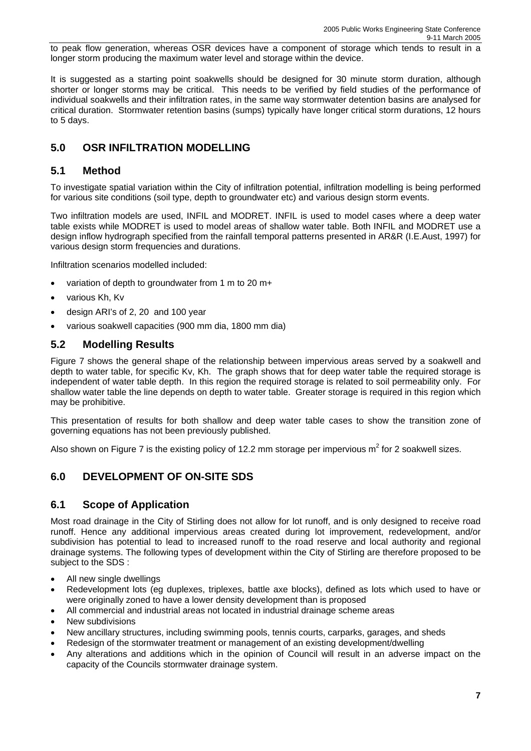to peak flow generation, whereas OSR devices have a component of storage which tends to result in a longer storm producing the maximum water level and storage within the device.

It is suggested as a starting point soakwells should be designed for 30 minute storm duration, although shorter or longer storms may be critical. This needs to be verified by field studies of the performance of individual soakwells and their infiltration rates, in the same way stormwater detention basins are analysed for critical duration. Stormwater retention basins (sumps) typically have longer critical storm durations, 12 hours to 5 days.

### **5.0 OSR INFILTRATION MODELLING**

#### **5.1 Method**

To investigate spatial variation within the City of infiltration potential, infiltration modelling is being performed for various site conditions (soil type, depth to groundwater etc) and various design storm events.

Two infiltration models are used, INFIL and MODRET. INFIL is used to model cases where a deep water table exists while MODRET is used to model areas of shallow water table. Both INFIL and MODRET use a design inflow hydrograph specified from the rainfall temporal patterns presented in AR&R (I.E.Aust, 1997) for various design storm frequencies and durations.

Infiltration scenarios modelled included:

- variation of depth to groundwater from 1 m to 20 m+
- various Kh, Kv
- design ARI's of 2, 20 and 100 year
- various soakwell capacities (900 mm dia, 1800 mm dia)

#### **5.2 Modelling Results**

Figure 7 shows the general shape of the relationship between impervious areas served by a soakwell and depth to water table, for specific Kv, Kh. The graph shows that for deep water table the required storage is independent of water table depth. In this region the required storage is related to soil permeability only. For shallow water table the line depends on depth to water table. Greater storage is required in this region which may be prohibitive.

This presentation of results for both shallow and deep water table cases to show the transition zone of governing equations has not been previously published.

Also shown on Figure 7 is the existing policy of 12.2 mm storage per impervious m<sup>2</sup> for 2 soakwell sizes.

### **6.0 DEVELOPMENT OF ON-SITE SDS**

#### **6.1 Scope of Application**

Most road drainage in the City of Stirling does not allow for lot runoff, and is only designed to receive road runoff. Hence any additional impervious areas created during lot improvement, redevelopment, and/or subdivision has potential to lead to increased runoff to the road reserve and local authority and regional drainage systems. The following types of development within the City of Stirling are therefore proposed to be subject to the SDS :

- All new single dwellings
- Redevelopment lots (eg duplexes, triplexes, battle axe blocks), defined as lots which used to have or were originally zoned to have a lower density development than is proposed
- All commercial and industrial areas not located in industrial drainage scheme areas
- New subdivisions
- New ancillary structures, including swimming pools, tennis courts, carparks, garages, and sheds
- Redesign of the stormwater treatment or management of an existing development/dwelling
- Any alterations and additions which in the opinion of Council will result in an adverse impact on the capacity of the Councils stormwater drainage system.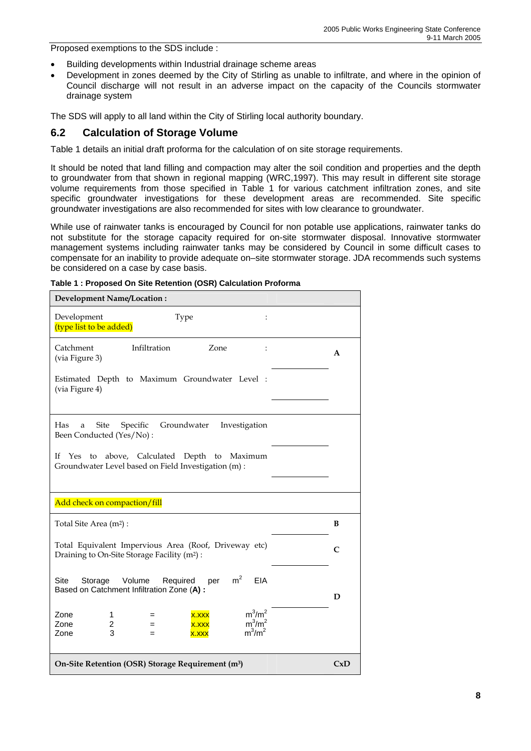Proposed exemptions to the SDS include :

- Building developments within Industrial drainage scheme areas
- Development in zones deemed by the City of Stirling as unable to infiltrate, and where in the opinion of Council discharge will not result in an adverse impact on the capacity of the Councils stormwater drainage system

The SDS will apply to all land within the City of Stirling local authority boundary.

#### **6.2 Calculation of Storage Volume**

Table 1 details an initial draft proforma for the calculation of on site storage requirements.

It should be noted that land filling and compaction may alter the soil condition and properties and the depth to groundwater from that shown in regional mapping (WRC,1997). This may result in different site storage volume requirements from those specified in Table 1 for various catchment infiltration zones, and site specific groundwater investigations for these development areas are recommended. Site specific groundwater investigations are also recommended for sites with low clearance to groundwater.

While use of rainwater tanks is encouraged by Council for non potable use applications, rainwater tanks do not substitute for the storage capacity required for on-site stormwater disposal. Innovative stormwater management systems including rainwater tanks may be considered by Council in some difficult cases to compensate for an inability to provide adequate on–site stormwater storage. JDA recommends such systems be considered on a case by case basis.

| Development Name/Location:                                                                                                                              |     |
|---------------------------------------------------------------------------------------------------------------------------------------------------------|-----|
| Development<br>Type<br>$\ddot{\phantom{a}}$<br>(type list to be added)                                                                                  |     |
| Infiltration<br>Zone<br>Catchment<br>$\ddot{\cdot}$<br>(via Figure 3)                                                                                   | A   |
| Estimated Depth to Maximum Groundwater Level :<br>(via Figure 4)                                                                                        |     |
| Has<br><b>Site</b><br>Groundwater<br>Specific<br>Investigation<br>a<br>Been Conducted (Yes/No):                                                         |     |
| above, Calculated Depth to Maximum<br>If Yes<br>to<br>Groundwater Level based on Field Investigation (m) :                                              |     |
| Add check on compaction/fill                                                                                                                            |     |
|                                                                                                                                                         |     |
| Total Site Area (m <sup>2</sup> ) :                                                                                                                     | B   |
| Total Equivalent Impervious Area (Roof, Driveway etc)<br>Draining to On-Site Storage Facility (m <sup>2</sup> ) :                                       | C   |
| m <sup>2</sup><br><b>Site</b><br><b>EIA</b><br>Storage<br>Volume<br>Required<br>per<br>Based on Catchment Infiltration Zone (A) :                       | D   |
| $m^3/m^2$<br>Zone<br>x.xxx<br>1<br>$=$<br>$m^3/m^2$<br>Zone<br>$\overline{\mathbf{c}}$<br><b>X.XXX</b><br>$=$<br>$m^3/m^2$<br>3<br>Zone<br>x.xxx<br>$=$ |     |
| On-Site Retention (OSR) Storage Requirement (m <sup>3</sup> )                                                                                           | CxD |

**Table 1 : Proposed On Site Retention (OSR) Calculation Proforma**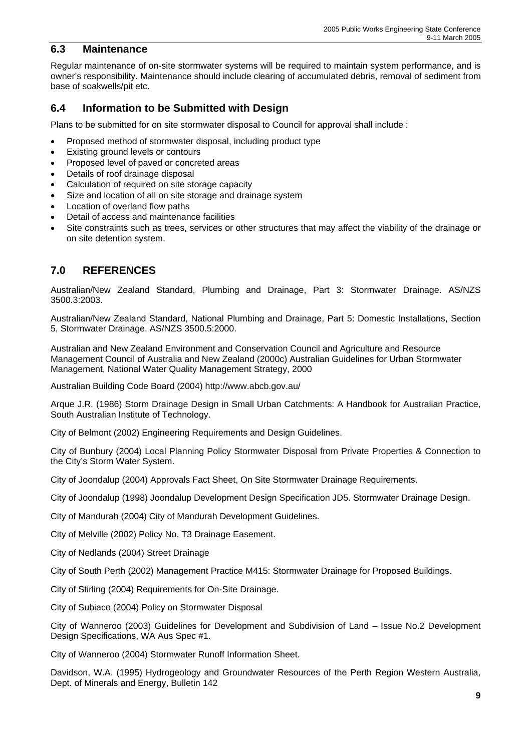#### **6.3 Maintenance**

Regular maintenance of on-site stormwater systems will be required to maintain system performance, and is owner's responsibility. Maintenance should include clearing of accumulated debris, removal of sediment from base of soakwells/pit etc.

### **6.4 Information to be Submitted with Design**

Plans to be submitted for on site stormwater disposal to Council for approval shall include :

- Proposed method of stormwater disposal, including product type
- Existing ground levels or contours
- Proposed level of paved or concreted areas
- Details of roof drainage disposal
- Calculation of required on site storage capacity
- Size and location of all on site storage and drainage system
- Location of overland flow paths
- Detail of access and maintenance facilities
- Site constraints such as trees, services or other structures that may affect the viability of the drainage or on site detention system.

### **7.0 REFERENCES**

Australian/New Zealand Standard, Plumbing and Drainage, Part 3: Stormwater Drainage. AS/NZS 3500.3:2003.

Australian/New Zealand Standard, National Plumbing and Drainage, Part 5: Domestic Installations, Section 5, Stormwater Drainage. AS/NZS 3500.5:2000.

Australian and New Zealand Environment and Conservation Council and Agriculture and Resource Management Council of Australia and New Zealand (2000c) Australian Guidelines for Urban Stormwater Management, National Water Quality Management Strategy, 2000

Australian Building Code Board (2004) http://www.abcb.gov.au/

Arque J.R. (1986) Storm Drainage Design in Small Urban Catchments: A Handbook for Australian Practice, South Australian Institute of Technology.

City of Belmont (2002) Engineering Requirements and Design Guidelines.

City of Bunbury (2004) Local Planning Policy Stormwater Disposal from Private Properties & Connection to the City's Storm Water System.

City of Joondalup (2004) Approvals Fact Sheet, On Site Stormwater Drainage Requirements.

City of Joondalup (1998) Joondalup Development Design Specification JD5. Stormwater Drainage Design.

City of Mandurah (2004) City of Mandurah Development Guidelines.

City of Melville (2002) Policy No. T3 Drainage Easement.

City of Nedlands (2004) Street Drainage

City of South Perth (2002) Management Practice M415: Stormwater Drainage for Proposed Buildings.

City of Stirling (2004) Requirements for On-Site Drainage.

City of Subiaco (2004) Policy on Stormwater Disposal

City of Wanneroo (2003) Guidelines for Development and Subdivision of Land – Issue No.2 Development Design Specifications, WA Aus Spec #1.

City of Wanneroo (2004) Stormwater Runoff Information Sheet.

Davidson, W.A. (1995) Hydrogeology and Groundwater Resources of the Perth Region Western Australia, Dept. of Minerals and Energy, Bulletin 142